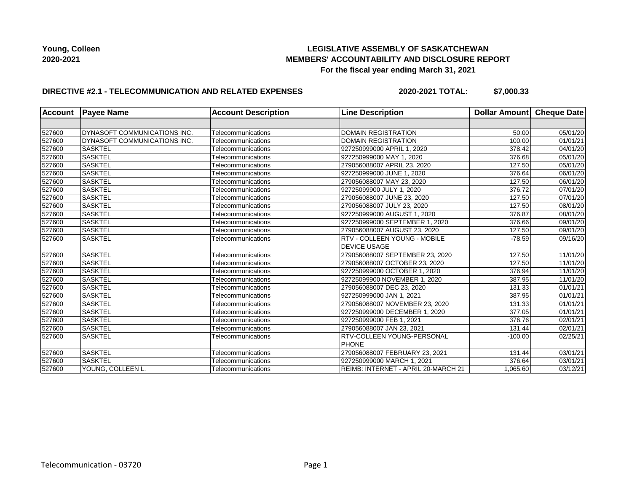## **LEGISLATIVE ASSEMBLY OF SASKATCHEWAN MEMBERS' ACCOUNTABILITY AND DISCLOSURE REPORT For the fiscal year ending March 31, 2021**

## **DIRECTIVE #2.1 - TELECOMMUNICATION AND RELATED EXPENSES**

**2020-2021 TOTAL: \$7,000.33**

| <b>Account</b> | <b>Payee Name</b>            | <b>Account Description</b> | <b>Line Description</b>             | Dollar Amount | Cheque Date           |
|----------------|------------------------------|----------------------------|-------------------------------------|---------------|-----------------------|
|                |                              |                            |                                     |               |                       |
| 527600         | DYNASOFT COMMUNICATIONS INC. | Telecommunications         | <b>DOMAIN REGISTRATION</b>          | 50.00         | 05/01/20              |
| 527600         | DYNASOFT COMMUNICATIONS INC. | Telecommunications         | <b>DOMAIN REGISTRATION</b>          | 100.00        | 01/01/21              |
| 527600         | <b>SASKTEL</b>               | Telecommunications         | 927250999000 APRIL 1, 2020          | 378.42        | 04/01/20              |
| 527600         | <b>SASKTEL</b>               | Telecommunications         | 927250999000 MAY 1, 2020            | 376.68        | 05/01/20              |
| 527600         | <b>SASKTEL</b>               | Telecommunications         | 279056088007 APRIL 23, 2020         | 127.50        | 05/01/20              |
| 527600         | SASKTEL                      | Telecommunications         | 927250999000 JUNE 1, 2020           | 376.64        | 06/01/20              |
| 527600         | <b>SASKTEL</b>               | Telecommunications         | 279056088007 MAY 23, 2020           | 127.50        | 06/01/20              |
| 527600         | <b>SASKTEL</b>               | Telecommunications         | 92725099900 JULY 1, 2020            | 376.72        | 07/01/20              |
| 527600         | <b>SASKTEL</b>               | Telecommunications         | 279056088007 JUNE 23, 2020          | 127.50        | $\overline{07}/01/20$ |
| 527600         | SASKTEL                      | Telecommunications         | 279056088007 JULY 23, 2020          | 127.50        | 08/01/20              |
| 527600         | <b>SASKTEL</b>               | Telecommunications         | 927250999000 AUGUST 1, 2020         | 376.87        | 08/01/20              |
| 527600         | SASKTEL                      | Telecommunications         | 927250999000 SEPTEMBER 1, 2020      | 376.66        | 09/01/20              |
| 527600         | SASKTEL                      | Telecommunications         | 279056088007 AUGUST 23, 2020        | 127.50        | 09/01/20              |
| 527600         | <b>SASKTEL</b>               | Telecommunications         | RTV - COLLEEN YOUNG - MOBILE        | $-78.59$      | 09/16/20              |
|                |                              |                            | <b>DEVICE USAGE</b>                 |               |                       |
| 527600         | <b>SASKTEL</b>               | Telecommunications         | 279056088007 SEPTEMBER 23, 2020     | 127.50        | 11/01/20              |
| 527600         | SASKTEL                      | Telecommunications         | 279056088007 OCTOBER 23, 2020       | 127.50        | 11/01/20              |
| 527600         | <b>SASKTEL</b>               | Telecommunications         | 927250999000 OCTOBER 1, 2020        | 376.94        | 11/01/20              |
| 527600         | SASKTEL                      | Telecommunications         | 92725099900 NOVEMBER 1, 2020        | 387.95        | 11/01/20              |
| 527600         | <b>SASKTEL</b>               | Telecommunications         | 279056088007 DEC 23, 2020           | 131.33        | 01/01/21              |
| 527600         | <b>SASKTEL</b>               | Telecommunications         | 927250999000 JAN 1, 2021            | 387.95        | 01/01/21              |
| 527600         | <b>SASKTEL</b>               | Telecommunications         | 279056088007 NOVEMBER 23, 2020      | 131.33        | 01/01/21              |
| 527600         | <b>SASKTEL</b>               | Telecommunications         | 927250999000 DECEMBER 1, 2020       | 377.05        | 01/01/21              |
| 527600         | SASKTEL                      | Telecommunications         | 927250999000 FEB 1, 2021            | 376.76        | 02/01/21              |
| 527600         | <b>SASKTEL</b>               | Telecommunications         | 279056088007 JAN 23, 2021           | 131.44        | 02/01/21              |
| 527600         | <b>SASKTEL</b>               | Telecommunications         | RTV-COLLEEN YOUNG-PERSONAL          | $-100.00$     | 02/25/21              |
|                |                              |                            | <b>PHONE</b>                        |               |                       |
| 527600         | SASKTEL                      | Telecommunications         | 279056088007 FEBRUARY 23, 2021      | 131.44        | 03/01/21              |
| 527600         | <b>SASKTEL</b>               | Telecommunications         | 927250999000 MARCH 1, 2021          | 376.64        | 03/01/21              |
| 527600         | YOUNG, COLLEEN L.            | Telecommunications         | REIMB: INTERNET - APRIL 20-MARCH 21 | 1,065.60      | 03/12/21              |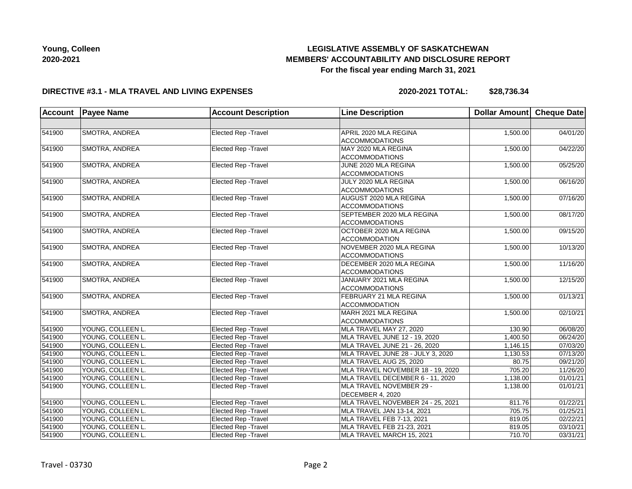# **LEGISLATIVE ASSEMBLY OF SASKATCHEWAN MEMBERS' ACCOUNTABILITY AND DISCLOSURE REPORT For the fiscal year ending March 31, 2021**

#### **DIRECTIVE #3.1 - MLA TRAVEL AND LIVING EXPENSES**

**2020-2021 TOTAL: \$28,736.34**

| <b>Account</b> | <b>Payee Name</b> | <b>Account Description</b>  | <b>Line Description</b>           | Dollar Amount Cheque Date |          |
|----------------|-------------------|-----------------------------|-----------------------------------|---------------------------|----------|
|                |                   |                             |                                   |                           |          |
| 541900         | SMOTRA, ANDREA    | Elected Rep - Travel        | APRIL 2020 MLA REGINA             | 1,500.00                  | 04/01/20 |
|                |                   |                             | <b>ACCOMMODATIONS</b>             |                           |          |
| 541900         | SMOTRA, ANDREA    | Elected Rep - Travel        | MAY 2020 MLA REGINA               | 1,500.00                  | 04/22/20 |
|                |                   |                             | <b>ACCOMMODATIONS</b>             |                           |          |
| 541900         | SMOTRA, ANDREA    | Elected Rep - Travel        | JUNE 2020 MLA REGINA              | 1,500.00                  | 05/25/20 |
|                |                   |                             | <b>ACCOMMODATIONS</b>             |                           |          |
| 541900         | SMOTRA, ANDREA    | Elected Rep - Travel        | JULY 2020 MLA REGINA              | 1,500.00                  | 06/16/20 |
|                |                   |                             | <b>ACCOMMODATIONS</b>             |                           |          |
| 541900         | SMOTRA, ANDREA    | Elected Rep - Travel        | AUGUST 2020 MLA REGINA            | 1,500.00                  | 07/16/20 |
|                |                   |                             | <b>ACCOMMODATIONS</b>             |                           |          |
| 541900         | SMOTRA, ANDREA    | Elected Rep - Travel        | SEPTEMBER 2020 MLA REGINA         | 1,500.00                  | 08/17/20 |
|                |                   |                             | <b>ACCOMMODATIONS</b>             |                           |          |
| 541900         | SMOTRA, ANDREA    | Elected Rep - Travel        | OCTOBER 2020 MLA REGINA           | 1,500.00                  | 09/15/20 |
|                |                   |                             | <b>ACCOMMODATION</b>              |                           |          |
| 541900         | SMOTRA, ANDREA    | Elected Rep - Travel        | NOVEMBER 2020 MLA REGINA          | 1,500.00                  | 10/13/20 |
|                |                   |                             | <b>ACCOMMODATIONS</b>             |                           |          |
| 541900         | SMOTRA, ANDREA    | Elected Rep - Travel        | DECEMBER 2020 MLA REGINA          | 1,500.00                  | 11/16/20 |
|                |                   |                             | <b>ACCOMMODATIONS</b>             |                           |          |
| 541900         | SMOTRA, ANDREA    | Elected Rep - Travel        | JANUARY 2021 MLA REGINA           | 1,500.00                  | 12/15/20 |
|                |                   |                             | <b>ACCOMMODATIONS</b>             |                           |          |
| 541900         | SMOTRA, ANDREA    | Elected Rep - Travel        | FEBRUARY 21 MLA REGINA            | 1,500.00                  | 01/13/21 |
|                |                   |                             | ACCOMMODATION                     |                           |          |
| 541900         | SMOTRA, ANDREA    | Elected Rep - Travel        | MARH 2021 MLA REGINA              | 1,500.00                  | 02/10/21 |
|                |                   |                             | <b>ACCOMMODATIONS</b>             |                           |          |
| 541900         | YOUNG, COLLEEN L. | Elected Rep - Travel        | MLA TRAVEL MAY 27, 2020           | 130.90                    | 06/08/20 |
| 541900         | YOUNG, COLLEEN L. | Elected Rep - Travel        | MLA TRAVEL JUNE 12 - 19, 2020     | 1,400.50                  | 06/24/20 |
| 541900         | YOUNG, COLLEEN L. | Elected Rep - Travel        | MLA TRAVEL JUNE 21 - 26, 2020     | 1,146.15                  | 07/03/20 |
| 541900         | YOUNG, COLLEEN L. | <b>Elected Rep - Travel</b> | MLA TRAVEL JUNE 28 - JULY 3, 2020 | 1,130.53                  | 07/13/20 |
| 541900         | YOUNG, COLLEEN L. | Elected Rep - Travel        | MLA TRAVEL AUG 25, 2020           | 80.75                     | 09/21/20 |
| 541900         | YOUNG, COLLEEN L. | Elected Rep - Travel        | MLA TRAVEL NOVEMBER 18 - 19, 2020 | 705.20                    | 11/26/20 |
| 541900         | YOUNG, COLLEEN L. | Elected Rep - Travel        | MLA TRAVEL DECEMBER 6 - 11, 2020  | 1,138.00                  | 01/01/21 |
| 541900         | YOUNG, COLLEEN L. | Elected Rep - Travel        | MLA TRAVEL NOVEMBER 29 -          | 1,138.00                  | 01/01/21 |
|                |                   |                             | DECEMBER 4, 2020                  |                           |          |
| 541900         | YOUNG, COLLEEN L. | Elected Rep - Travel        | MLA TRAVEL NOVEMBER 24 - 25, 2021 | 811.76                    | 01/22/21 |
| 541900         | YOUNG, COLLEEN L. | Elected Rep - Travel        | MLA TRAVEL JAN 13-14, 2021        | 705.75                    | 01/25/21 |
| 541900         | YOUNG, COLLEEN L. | Elected Rep - Travel        | MLA TRAVEL FEB 7-13, 2021         | 819.05                    | 02/22/21 |
| 541900         | YOUNG, COLLEEN L. | <b>Elected Rep - Travel</b> | MLA TRAVEL FEB 21-23, 2021        | 819.05                    | 03/10/21 |
| 541900         | YOUNG, COLLEEN L. | <b>Elected Rep - Travel</b> | MLA TRAVEL MARCH 15, 2021         | 710.70                    | 03/31/21 |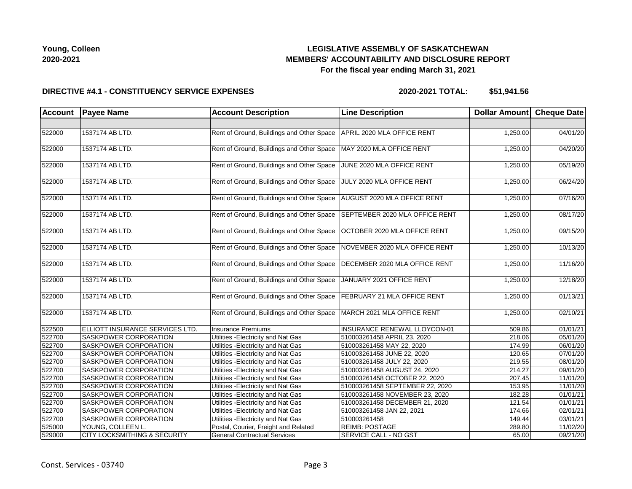# **LEGISLATIVE ASSEMBLY OF SASKATCHEWAN MEMBERS' ACCOUNTABILITY AND DISCLOSURE REPORT For the fiscal year ending March 31, 2021**

#### **DIRECTIVE #4.1 - CONSTITUENCY SERVICE EXPENSES**

| Account | <b>Payee Name</b>                       | <b>Account Description</b>                | <b>Line Description</b>            | Dollar Amount Cheque Date |          |
|---------|-----------------------------------------|-------------------------------------------|------------------------------------|---------------------------|----------|
|         |                                         |                                           |                                    |                           |          |
| 522000  | 1537174 AB LTD.                         | Rent of Ground, Buildings and Other Space | APRIL 2020 MLA OFFICE RENT         | 1,250.00                  | 04/01/20 |
| 522000  | 1537174 AB LTD.                         | Rent of Ground, Buildings and Other Space | MAY 2020 MLA OFFICE RENT           | 1,250.00                  | 04/20/20 |
| 522000  | 1537174 AB LTD.                         | Rent of Ground, Buildings and Other Space | JUNE 2020 MLA OFFICE RENT          | 1,250.00                  | 05/19/20 |
| 522000  | 1537174 AB LTD.                         | Rent of Ground, Buildings and Other Space | JULY 2020 MLA OFFICE RENT          | 1,250.00                  | 06/24/20 |
| 522000  | 1537174 AB LTD.                         | Rent of Ground, Buildings and Other Space | AUGUST 2020 MLA OFFICE RENT        | 1,250.00                  | 07/16/20 |
| 522000  | 1537174 AB LTD.                         | Rent of Ground, Buildings and Other Space | SEPTEMBER 2020 MLA OFFICE RENT     | 1,250.00                  | 08/17/20 |
| 522000  | 1537174 AB LTD.                         | Rent of Ground, Buildings and Other Space | OCTOBER 2020 MLA OFFICE RENT       | 1,250.00                  | 09/15/20 |
| 522000  | 1537174 AB LTD.                         | Rent of Ground, Buildings and Other Space | NOVEMBER 2020 MLA OFFICE RENT      | 1,250.00                  | 10/13/20 |
| 522000  | 1537174 AB LTD.                         | Rent of Ground, Buildings and Other Space | DECEMBER 2020 MLA OFFICE RENT      | 1,250.00                  | 11/16/20 |
| 522000  | 1537174 AB LTD.                         | Rent of Ground, Buildings and Other Space | JANUARY 2021 OFFICE RENT           | 1,250.00                  | 12/18/20 |
| 522000  | 1537174 AB LTD.                         | Rent of Ground, Buildings and Other Space | <b>FEBRUARY 21 MLA OFFICE RENT</b> | 1,250.00                  | 01/13/21 |
| 522000  | 1537174 AB LTD.                         | Rent of Ground, Buildings and Other Space | MARCH 2021 MLA OFFICE RENT         | 1,250.00                  | 02/10/21 |
| 522500  | ELLIOTT INSURANCE SERVICES LTD.         | <b>Insurance Premiums</b>                 | INSURANCE RENEWAL LLOYCON-01       | 509.86                    | 01/01/21 |
| 522700  | SASKPOWER CORPORATION                   | Utilities - Electricity and Nat Gas       | 510003261458 APRIL 23, 2020        | 218.06                    | 05/01/20 |
| 522700  | <b>SASKPOWER CORPORATION</b>            | Utilities - Electricity and Nat Gas       | 510003261458 MAY 22, 2020          | 174.99                    | 06/01/20 |
| 522700  | SASKPOWER CORPORATION                   | Utilities - Electricity and Nat Gas       | 510003261458 JUNE 22, 2020         | 120.65                    | 07/01/20 |
| 522700  | SASKPOWER CORPORATION                   | Utilities - Electricity and Nat Gas       | 510003261458 JULY 22, 2020         | 219.55                    | 08/01/20 |
| 522700  | <b>SASKPOWER CORPORATION</b>            | Utilities - Electricity and Nat Gas       | 510003261458 AUGUST 24, 2020       | 214.27                    | 09/01/20 |
| 522700  | SASKPOWER CORPORATION                   | Utilities - Electricity and Nat Gas       | 510003261458 OCTOBER 22, 2020      | 207.45                    | 11/01/20 |
| 522700  | SASKPOWER CORPORATION                   | Utilities - Electricity and Nat Gas       | 510003261458 SEPTEMBER 22, 2020    | 153.95                    | 11/01/20 |
| 522700  | SASKPOWER CORPORATION                   | Utilities - Electricity and Nat Gas       | 510003261458 NOVEMBER 23, 2020     | 182.28                    | 01/01/21 |
| 522700  | SASKPOWER CORPORATION                   | Utilities - Electricity and Nat Gas       | 510003261458 DECEMBER 21, 2020     | 121.54                    | 01/01/21 |
| 522700  | <b>SASKPOWER CORPORATION</b>            | Utilities - Electricity and Nat Gas       | 510003261458 JAN 22, 2021          | 174.66                    | 02/01/21 |
| 522700  | <b>SASKPOWER CORPORATION</b>            | Utilities - Electricity and Nat Gas       | 510003261458                       | 149.44                    | 03/01/21 |
| 525000  | YOUNG, COLLEEN L.                       | Postal, Courier, Freight and Related      | <b>REIMB: POSTAGE</b>              | 289.80                    | 11/02/20 |
| 529000  | <b>CITY LOCKSMITHING &amp; SECURITY</b> | <b>General Contractual Services</b>       | <b>SERVICE CALL - NO GST</b>       | 65.00                     | 09/21/20 |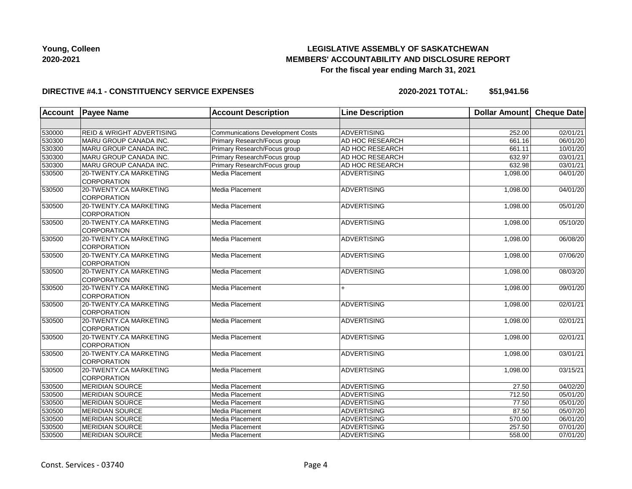# **LEGISLATIVE ASSEMBLY OF SASKATCHEWAN MEMBERS' ACCOUNTABILITY AND DISCLOSURE REPORT For the fiscal year ending March 31, 2021**

### **DIRECTIVE #4.1 - CONSTITUENCY SERVICE EXPENSES**

| <b>Account</b> | <b>Payee Name</b>                            | <b>Account Description</b>              | <b>Line Description</b> | <b>Dollar Amount</b> | Cheque Date |
|----------------|----------------------------------------------|-----------------------------------------|-------------------------|----------------------|-------------|
|                |                                              |                                         |                         |                      |             |
| 530000         | <b>REID &amp; WRIGHT ADVERTISING</b>         | <b>Communications Development Costs</b> | <b>ADVERTISING</b>      | 252.00               | 02/01/21    |
| 530300         | MARU GROUP CANADA INC.                       | Primary Research/Focus group            | AD HOC RESEARCH         | 661.16               | 06/01/20    |
| 530300         | MARU GROUP CANADA INC.                       | Primary Research/Focus group            | AD HOC RESEARCH         | 661.11               | 10/01/20    |
| 530300         | MARU GROUP CANADA INC.                       | Primary Research/Focus group            | AD HOC RESEARCH         | 632.97               | 03/01/21    |
| 530300         | MARU GROUP CANADA INC.                       | Primary Research/Focus group            | AD HOC RESEARCH         | 632.98               | 03/01/21    |
| 530500         | 20-TWENTY.CA MARKETING<br><b>CORPORATION</b> | Media Placement                         | <b>ADVERTISING</b>      | 1,098.00             | 04/01/20    |
| 530500         | 20-TWENTY.CA MARKETING<br><b>CORPORATION</b> | Media Placement                         | <b>ADVERTISING</b>      | 1,098.00             | 04/01/20    |
| 530500         | 20-TWENTY.CA MARKETING<br><b>CORPORATION</b> | Media Placement                         | ADVERTISING             | 1,098.00             | 05/01/20    |
| 530500         | 20-TWENTY.CA MARKETING<br><b>CORPORATION</b> | Media Placement                         | <b>ADVERTISING</b>      | 1,098.00             | 05/10/20    |
| 530500         | 20-TWENTY.CA MARKETING<br><b>CORPORATION</b> | Media Placement                         | <b>ADVERTISING</b>      | 1,098.00             | 06/08/20    |
| 530500         | 20-TWENTY.CA MARKETING<br><b>CORPORATION</b> | Media Placement                         | ADVERTISING             | 1,098.00             | 07/06/20    |
| 530500         | 20-TWENTY.CA MARKETING<br><b>CORPORATION</b> | Media Placement                         | <b>ADVERTISING</b>      | 1,098.00             | 08/03/20    |
| 530500         | 20-TWENTY.CA MARKETING<br><b>CORPORATION</b> | Media Placement                         | $+$                     | 1,098.00             | 09/01/20    |
| 530500         | 20-TWENTY.CA MARKETING<br><b>CORPORATION</b> | Media Placement                         | <b>ADVERTISING</b>      | 1,098.00             | 02/01/21    |
| 530500         | 20-TWENTY.CA MARKETING<br><b>CORPORATION</b> | Media Placement                         | <b>ADVERTISING</b>      | 1,098.00             | 02/01/21    |
| 530500         | 20-TWENTY.CA MARKETING<br><b>CORPORATION</b> | Media Placement                         | ADVERTISING             | 1,098.00             | 02/01/21    |
| 530500         | 20-TWENTY.CA MARKETING<br><b>CORPORATION</b> | Media Placement                         | ADVERTISING             | 1,098.00             | 03/01/21    |
| 530500         | 20-TWENTY.CA MARKETING<br><b>CORPORATION</b> | Media Placement                         | <b>ADVERTISING</b>      | 1,098.00             | 03/15/21    |
| 530500         | <b>MERIDIAN SOURCE</b>                       | Media Placement                         | <b>ADVERTISING</b>      | 27.50                | 04/02/20    |
| 530500         | <b>MERIDIAN SOURCE</b>                       | Media Placement                         | <b>ADVERTISING</b>      | 712.50               | 05/01/20    |
| 530500         | <b>MERIDIAN SOURCE</b>                       | Media Placement                         | <b>ADVERTISING</b>      | 77.50                | 05/01/20    |
| 530500         | <b>MERIDIAN SOURCE</b>                       | Media Placement                         | <b>ADVERTISING</b>      | 87.50                | 05/07/20    |
| 530500         | <b>MERIDIAN SOURCE</b>                       | Media Placement                         | <b>ADVERTISING</b>      | 570.00               | 06/01/20    |
| 530500         | <b>MERIDIAN SOURCE</b>                       | Media Placement                         | <b>ADVERTISING</b>      | 257.50               | 07/01/20    |
| 530500         | <b>MERIDIAN SOURCE</b>                       | Media Placement                         | ADVERTISING             | 558.00               | 07/01/20    |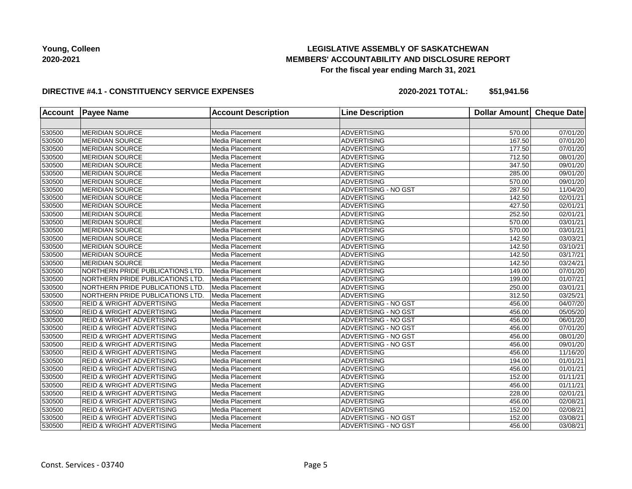## **LEGISLATIVE ASSEMBLY OF SASKATCHEWAN MEMBERS' ACCOUNTABILITY AND DISCLOSURE REPORT For the fiscal year ending March 31, 2021**

### **DIRECTIVE #4.1 - CONSTITUENCY SERVICE EXPENSES**

| <b>Account</b> | <b>Payee Name</b>                      | <b>Account Description</b> | <b>Line Description</b>     | <b>Dollar Amount</b> | <b>Cheque Date</b>    |
|----------------|----------------------------------------|----------------------------|-----------------------------|----------------------|-----------------------|
|                |                                        |                            |                             |                      |                       |
| 530500         | <b>MERIDIAN SOURCE</b>                 | Media Placement            | <b>ADVERTISING</b>          | 570.00               | 07/01/20              |
| 530500         | <b>MERIDIAN SOURCE</b>                 | Media Placement            | <b>ADVERTISING</b>          | 167.50               | 07/01/20              |
| 530500         | <b>MERIDIAN SOURCE</b>                 | Media Placement            | <b>ADVERTISING</b>          | 177.50               | 07/01/20              |
| 530500         | <b>MERIDIAN SOURCE</b>                 | Media Placement            | <b>ADVERTISING</b>          | 712.50               | 08/01/20              |
| 530500         | <b>MERIDIAN SOURCE</b>                 | Media Placement            | <b>ADVERTISING</b>          | 347.50               | 09/01/20              |
| 530500         | <b>MERIDIAN SOURCE</b>                 | Media Placement            | ADVERTISING                 | 285.00               | 09/01/20              |
| 530500         | <b>MERIDIAN SOURCE</b>                 | Media Placement            | <b>ADVERTISING</b>          | 570.00               | 09/01/20              |
| 530500         | <b>MERIDIAN SOURCE</b>                 | Media Placement            | <b>ADVERTISING - NO GST</b> | 287.50               | 11/04/20              |
| 530500         | <b>MERIDIAN SOURCE</b>                 | Media Placement            | <b>ADVERTISING</b>          | 142.50               | 02/01/21              |
| 530500         | <b>MERIDIAN SOURCE</b>                 | Media Placement            | <b>ADVERTISING</b>          | 427.50               | 02/01/21              |
| 530500         | <b>MERIDIAN SOURCE</b>                 | Media Placement            | <b>ADVERTISING</b>          | 252.50               | 02/01/21              |
| 530500         | <b>MERIDIAN SOURCE</b>                 | Media Placement            | <b>ADVERTISING</b>          | 570.00               | 03/01/21              |
| 530500         | <b>MERIDIAN SOURCE</b>                 | Media Placement            | <b>ADVERTISING</b>          | 570.00               | 03/01/21              |
| 530500         | <b>MERIDIAN SOURCE</b>                 | Media Placement            | <b>ADVERTISING</b>          | 142.50               | 03/03/21              |
| 530500         | <b>MERIDIAN SOURCE</b>                 | Media Placement            | <b>ADVERTISING</b>          | 142.50               | 03/10/21              |
| 530500         | <b>MERIDIAN SOURCE</b>                 | Media Placement            | <b>ADVERTISING</b>          | 142.50               | 03/17/21              |
| 530500         | <b>MERIDIAN SOURCE</b>                 | Media Placement            | <b>ADVERTISING</b>          | 142.50               | 03/24/21              |
| 530500         | <b>NORTHERN PRIDE PUBLICATIONS LTD</b> | Media Placement            | <b>ADVERTISING</b>          | 149.00               | 07/01/20              |
| 530500         | NORTHERN PRIDE PUBLICATIONS LTD.       | Media Placement            | <b>ADVERTISING</b>          | 199.00               | 01/07/21              |
| 530500         | NORTHERN PRIDE PUBLICATIONS LTD.       | Media Placement            | <b>ADVERTISING</b>          | 250.00               | 03/01/21              |
| 530500         | NORTHERN PRIDE PUBLICATIONS LTD.       | Media Placement            | <b>ADVERTISING</b>          | 312.50               | 03/25/21              |
| 530500         | <b>REID &amp; WRIGHT ADVERTISING</b>   | Media Placement            | ADVERTISING - NO GST        | 456.00               | 04/07/20              |
| 530500         | <b>REID &amp; WRIGHT ADVERTISING</b>   | Media Placement            | ADVERTISING - NO GST        | 456.00               | 05/05/20              |
| 530500         | <b>REID &amp; WRIGHT ADVERTISING</b>   | Media Placement            | <b>ADVERTISING - NO GST</b> | 456.00               | 06/01/20              |
| 530500         | <b>REID &amp; WRIGHT ADVERTISING</b>   | Media Placement            | ADVERTISING - NO GST        | 456.00               | 07/01/20              |
| 530500         | <b>REID &amp; WRIGHT ADVERTISING</b>   | Media Placement            | ADVERTISING - NO GST        | 456.00               | 08/01/20              |
| 530500         | <b>REID &amp; WRIGHT ADVERTISING</b>   | Media Placement            | ADVERTISING - NO GST        | 456.00               | 09/01/20              |
| 530500         | <b>REID &amp; WRIGHT ADVERTISING</b>   | Media Placement            | <b>ADVERTISING</b>          | 456.00               | 11/16/20              |
| 530500         | <b>REID &amp; WRIGHT ADVERTISING</b>   | Media Placement            | <b>ADVERTISING</b>          | 194.00               | 01/01/21              |
| 530500         | <b>REID &amp; WRIGHT ADVERTISING</b>   | Media Placement            | <b>ADVERTISING</b>          | 456.00               | 01/01/21              |
| 530500         | <b>REID &amp; WRIGHT ADVERTISING</b>   | Media Placement            | <b>ADVERTISING</b>          | 152.00               | $\overline{01/1}1/21$ |
| 530500         | <b>REID &amp; WRIGHT ADVERTISING</b>   | Media Placement            | <b>ADVERTISING</b>          | 456.00               | 01/11/21              |
| 530500         | <b>REID &amp; WRIGHT ADVERTISING</b>   | Media Placement            | <b>ADVERTISING</b>          | 228.00               | 02/01/21              |
| 530500         | <b>REID &amp; WRIGHT ADVERTISING</b>   | Media Placement            | <b>ADVERTISING</b>          | 456.00               | 02/08/21              |
| 530500         | <b>REID &amp; WRIGHT ADVERTISING</b>   | Media Placement            | <b>ADVERTISING</b>          | 152.00               | 02/08/21              |
| 530500         | <b>REID &amp; WRIGHT ADVERTISING</b>   | Media Placement            | ADVERTISING - NO GST        | 152.00               | 03/08/21              |
| 530500         | <b>REID &amp; WRIGHT ADVERTISING</b>   | Media Placement            | <b>ADVERTISING - NO GST</b> | 456.00               | 03/08/21              |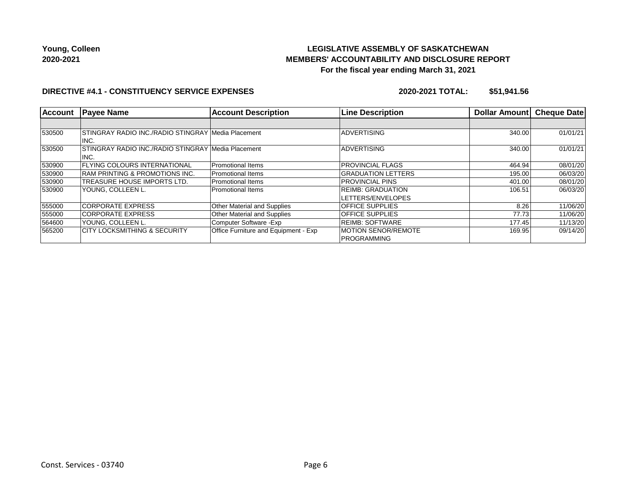# **LEGISLATIVE ASSEMBLY OF SASKATCHEWAN MEMBERS' ACCOUNTABILITY AND DISCLOSURE REPORT For the fiscal year ending March 31, 2021**

#### **DIRECTIVE #4.1 - CONSTITUENCY SERVICE EXPENSES**

| Account | <b>Payee Name</b>                                          | <b>Account Description</b>           | <b>Line Description</b>                            | Dollar Amount | <b>Cheque Date</b> |
|---------|------------------------------------------------------------|--------------------------------------|----------------------------------------------------|---------------|--------------------|
|         |                                                            |                                      |                                                    |               |                    |
| 530500  | STINGRAY RADIO INC./RADIO STINGRAY Media Placement<br>INC. |                                      | <b>ADVERTISING</b>                                 | 340.00        | 01/01/21           |
| 530500  | STINGRAY RADIO INC./RADIO STINGRAY Media Placement<br>INC. |                                      | <b>ADVERTISING</b>                                 | 340.00        | 01/01/21           |
| 530900  | <b>IFLYING COLOURS INTERNATIONAL</b>                       | Promotional Items                    | <b>PROVINCIAL FLAGS</b>                            | 464.94        | 08/01/20           |
| 530900  | <b>RAM PRINTING &amp; PROMOTIONS INC.</b>                  | Promotional Items                    | <b>GRADUATION LETTERS</b>                          | 195.00        | 06/03/20           |
| 530900  | <b>TREASURE HOUSE IMPORTS LTD.</b>                         | Promotional Items                    | <b>PROVINCIAL PINS</b>                             | 401.00        | 08/01/20           |
| 530900  | YOUNG. COLLEEN L.                                          | <b>Promotional Items</b>             | <b>REIMB: GRADUATION</b><br>LETTERS/ENVELOPES      | 106.51        | 06/03/20           |
| 555000  | <b>CORPORATE EXPRESS</b>                                   | <b>Other Material and Supplies</b>   | <b>OFFICE SUPPLIES</b>                             | 8.26          | 11/06/20           |
| 555000  | <b>CORPORATE EXPRESS</b>                                   | <b>Other Material and Supplies</b>   | <b>OFFICE SUPPLIES</b>                             | 77.73         | 11/06/20           |
| 564600  | YOUNG, COLLEEN L.                                          | Computer Software - Exp              | REIMB: SOFTWARE                                    | 177.45        | 11/13/20           |
| 565200  | <b>CITY LOCKSMITHING &amp; SECURITY</b>                    | Office Furniture and Equipment - Exp | <b>IMOTION SENOR/REMOTE</b><br><b>IPROGRAMMING</b> | 169.95        | 09/14/20           |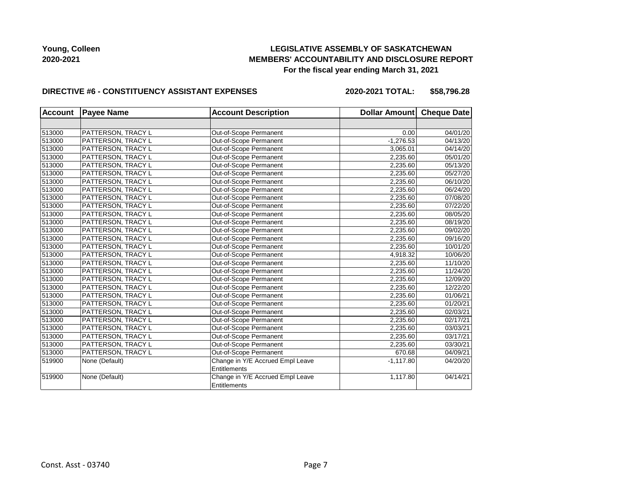## **LEGISLATIVE ASSEMBLY OF SASKATCHEWAN MEMBERS' ACCOUNTABILITY AND DISCLOSURE REPORT For the fiscal year ending March 31, 2021**

#### **DIRECTIVE #6 - CONSTITUENCY ASSISTANT EXPENSES**

**2020-2021 TOTAL: \$58,796.28**

| <b>Account</b> | <b>Payee Name</b>  | <b>Account Description</b>       | Dollar Amount Cheque Date |          |
|----------------|--------------------|----------------------------------|---------------------------|----------|
|                |                    |                                  |                           |          |
| 513000         | PATTERSON, TRACY L | Out-of-Scope Permanent           | 0.00                      | 04/01/20 |
| 513000         | PATTERSON, TRACY L | Out-of-Scope Permanent           | $-1,276.53$               | 04/13/20 |
| 513000         | PATTERSON, TRACY L | Out-of-Scope Permanent           | 3,065.01                  | 04/14/20 |
| 513000         | PATTERSON, TRACY L | Out-of-Scope Permanent           | 2,235.60                  | 05/01/20 |
| 513000         | PATTERSON, TRACY L | Out-of-Scope Permanent           | 2,235.60                  | 05/13/20 |
| 513000         | PATTERSON, TRACY L | Out-of-Scope Permanent           | 2,235.60                  | 05/27/20 |
| 513000         | PATTERSON, TRACY L | Out-of-Scope Permanent           | 2,235.60                  | 06/10/20 |
| 513000         | PATTERSON, TRACY L | Out-of-Scope Permanent           | 2,235.60                  | 06/24/20 |
| 513000         | PATTERSON, TRACY L | Out-of-Scope Permanent           | 2,235.60                  | 07/08/20 |
| 513000         | PATTERSON, TRACY L | Out-of-Scope Permanent           | 2,235.60                  | 07/22/20 |
| 513000         | PATTERSON, TRACY L | Out-of-Scope Permanent           | 2,235.60                  | 08/05/20 |
| 513000         | PATTERSON, TRACY L | Out-of-Scope Permanent           | 2,235.60                  | 08/19/20 |
| 513000         | PATTERSON, TRACY L | Out-of-Scope Permanent           | 2,235.60                  | 09/02/20 |
| 513000         | PATTERSON, TRACY L | Out-of-Scope Permanent           | 2,235.60                  | 09/16/20 |
| 513000         | PATTERSON, TRACY L | Out-of-Scope Permanent           | 2,235.60                  | 10/01/20 |
| 513000         | PATTERSON, TRACY L | Out-of-Scope Permanent           | 4,918.32                  | 10/06/20 |
| 513000         | PATTERSON, TRACY L | Out-of-Scope Permanent           | 2,235.60                  | 11/10/20 |
| 513000         | PATTERSON, TRACY L | Out-of-Scope Permanent           | 2,235.60                  | 11/24/20 |
| 513000         | PATTERSON, TRACY L | Out-of-Scope Permanent           | 2,235.60                  | 12/09/20 |
| 513000         | PATTERSON, TRACY L | Out-of-Scope Permanent           | 2,235.60                  | 12/22/20 |
| 513000         | PATTERSON, TRACY L | Out-of-Scope Permanent           | 2,235.60                  | 01/06/21 |
| 513000         | PATTERSON, TRACY L | Out-of-Scope Permanent           | 2,235.60                  | 01/20/21 |
| 513000         | PATTERSON, TRACY L | Out-of-Scope Permanent           | 2,235.60                  | 02/03/21 |
| 513000         | PATTERSON, TRACY L | Out-of-Scope Permanent           | 2,235.60                  | 02/17/21 |
| 513000         | PATTERSON, TRACY L | Out-of-Scope Permanent           | 2,235.60                  | 03/03/21 |
| 513000         | PATTERSON, TRACY L | Out-of-Scope Permanent           | 2,235.60                  | 03/17/21 |
| 513000         | PATTERSON, TRACY L | Out-of-Scope Permanent           | 2,235.60                  | 03/30/21 |
| 513000         | PATTERSON, TRACY L | Out-of-Scope Permanent           | 670.68                    | 04/09/21 |
| 519900         | None (Default)     | Change in Y/E Accrued Empl Leave | $-1,117.80$               | 04/20/20 |
|                |                    | Entitlements                     |                           |          |
| 519900         | None (Default)     | Change in Y/E Accrued Empl Leave | 1,117.80                  | 04/14/21 |
|                |                    | Entitlements                     |                           |          |